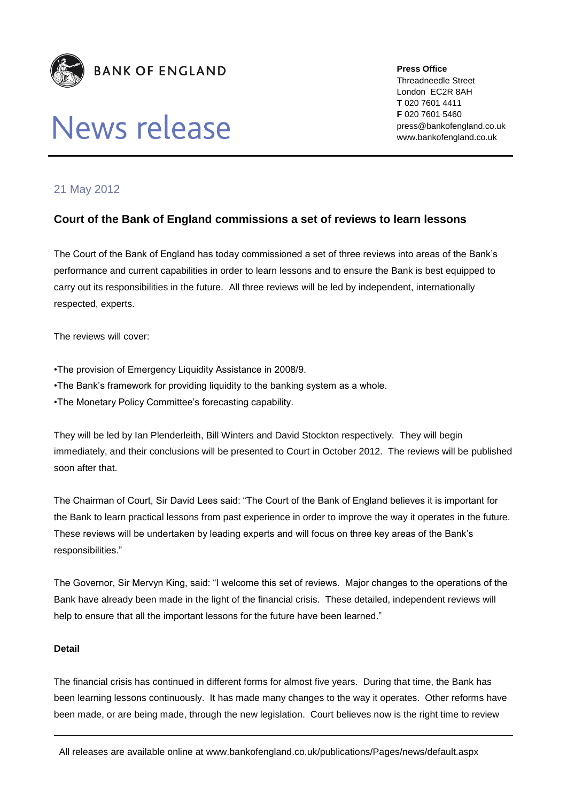

# News release

**Press Office** Threadneedle Street London EC2R 8AH **T** 020 7601 4411 **F** 020 7601 5460 press@bankofengland.co.uk www.bankofengland.co.uk

# 21 May 2012

## **Court of the Bank of England commissions a set of reviews to learn lessons**

The Court of the Bank of England has today commissioned a set of three reviews into areas of the Bank's performance and current capabilities in order to learn lessons and to ensure the Bank is best equipped to carry out its responsibilities in the future. All three reviews will be led by independent, internationally respected, experts.

The reviews will cover:

- •The provision of Emergency Liquidity Assistance in 2008/9.
- •The Bank's framework for providing liquidity to the banking system as a whole.
- •The Monetary Policy Committee's forecasting capability.

They will be led by Ian Plenderleith, Bill Winters and David Stockton respectively. They will begin immediately, and their conclusions will be presented to Court in October 2012. The reviews will be published soon after that.

The Chairman of Court, Sir David Lees said: "The Court of the Bank of England believes it is important for the Bank to learn practical lessons from past experience in order to improve the way it operates in the future. These reviews will be undertaken by leading experts and will focus on three key areas of the Bank's responsibilities."

The Governor, Sir Mervyn King, said: "I welcome this set of reviews. Major changes to the operations of the Bank have already been made in the light of the financial crisis. These detailed, independent reviews will help to ensure that all the important lessons for the future have been learned."

#### **Detail**

The financial crisis has continued in different forms for almost five years. During that time, the Bank has been learning lessons continuously. It has made many changes to the way it operates. Other reforms have been made, or are being made, through the new legislation. Court believes now is the right time to review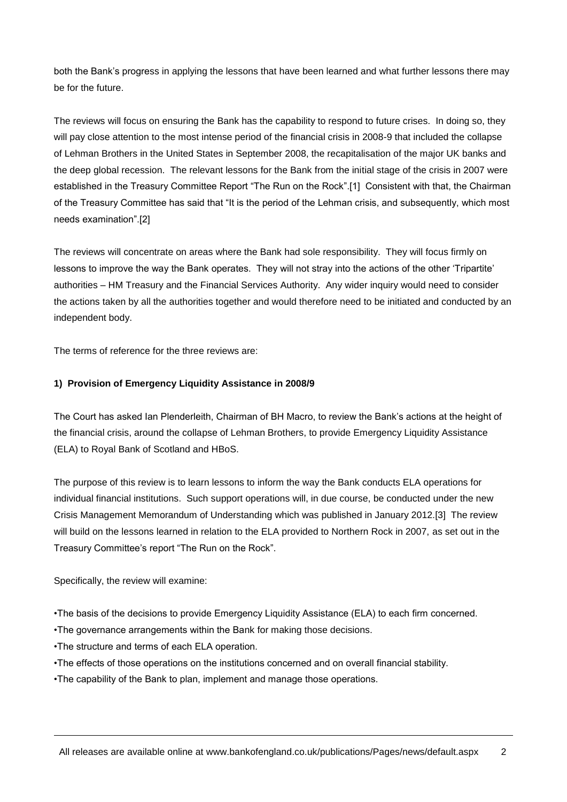both the Bank's progress in applying the lessons that have been learned and what further lessons there may be for the future.

The reviews will focus on ensuring the Bank has the capability to respond to future crises. In doing so, they will pay close attention to the most intense period of the financial crisis in 2008-9 that included the collapse of Lehman Brothers in the United States in September 2008, the recapitalisation of the major UK banks and the deep global recession. The relevant lessons for the Bank from the initial stage of the crisis in 2007 were established in the Treasury Committee Report "The Run on the Rock".[1] Consistent with that, the Chairman of the Treasury Committee has said that "It is the period of the Lehman crisis, and subsequently, which most needs examination".[2]

The reviews will concentrate on areas where the Bank had sole responsibility. They will focus firmly on lessons to improve the way the Bank operates. They will not stray into the actions of the other 'Tripartite' authorities – HM Treasury and the Financial Services Authority. Any wider inquiry would need to consider the actions taken by all the authorities together and would therefore need to be initiated and conducted by an independent body.

The terms of reference for the three reviews are:

#### **1) Provision of Emergency Liquidity Assistance in 2008/9**

The Court has asked Ian Plenderleith, Chairman of BH Macro, to review the Bank's actions at the height of the financial crisis, around the collapse of Lehman Brothers, to provide Emergency Liquidity Assistance (ELA) to Royal Bank of Scotland and HBoS.

The purpose of this review is to learn lessons to inform the way the Bank conducts ELA operations for individual financial institutions. Such support operations will, in due course, be conducted under the new Crisis Management Memorandum of Understanding which was published in January 2012.[3] The review will build on the lessons learned in relation to the ELA provided to Northern Rock in 2007, as set out in the Treasury Committee's report "The Run on the Rock".

Specifically, the review will examine:

•The basis of the decisions to provide Emergency Liquidity Assistance (ELA) to each firm concerned.

•The governance arrangements within the Bank for making those decisions.

•The structure and terms of each ELA operation.

- •The effects of those operations on the institutions concerned and on overall financial stability.
- •The capability of the Bank to plan, implement and manage those operations.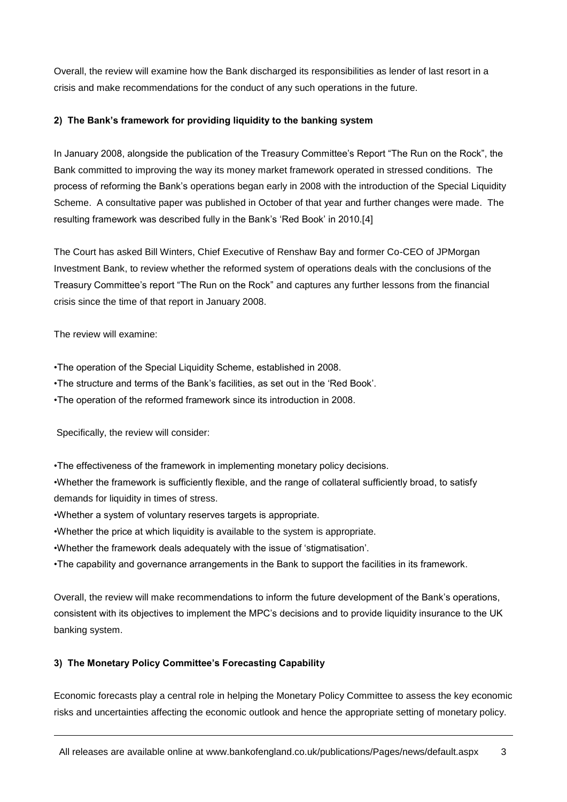Overall, the review will examine how the Bank discharged its responsibilities as lender of last resort in a crisis and make recommendations for the conduct of any such operations in the future.

## **2) The Bank's framework for providing liquidity to the banking system**

In January 2008, alongside the publication of the Treasury Committee's Report "The Run on the Rock", the Bank committed to improving the way its money market framework operated in stressed conditions. The process of reforming the Bank's operations began early in 2008 with the introduction of the Special Liquidity Scheme. A consultative paper was published in October of that year and further changes were made. The resulting framework was described fully in the Bank's 'Red Book' in 2010.[4]

The Court has asked Bill Winters, Chief Executive of Renshaw Bay and former Co-CEO of JPMorgan Investment Bank, to review whether the reformed system of operations deals with the conclusions of the Treasury Committee's report "The Run on the Rock" and captures any further lessons from the financial crisis since the time of that report in January 2008.

The review will examine:

•The operation of the Special Liquidity Scheme, established in 2008.

•The structure and terms of the Bank's facilities, as set out in the 'Red Book'.

•The operation of the reformed framework since its introduction in 2008.

Specifically, the review will consider:

•The effectiveness of the framework in implementing monetary policy decisions.

•Whether the framework is sufficiently flexible, and the range of collateral sufficiently broad, to satisfy demands for liquidity in times of stress.

•Whether a system of voluntary reserves targets is appropriate.

•Whether the price at which liquidity is available to the system is appropriate.

•Whether the framework deals adequately with the issue of 'stigmatisation'.

•The capability and governance arrangements in the Bank to support the facilities in its framework.

Overall, the review will make recommendations to inform the future development of the Bank's operations, consistent with its objectives to implement the MPC's decisions and to provide liquidity insurance to the UK banking system.

## **3) The Monetary Policy Committee's Forecasting Capability**

Economic forecasts play a central role in helping the Monetary Policy Committee to assess the key economic risks and uncertainties affecting the economic outlook and hence the appropriate setting of monetary policy.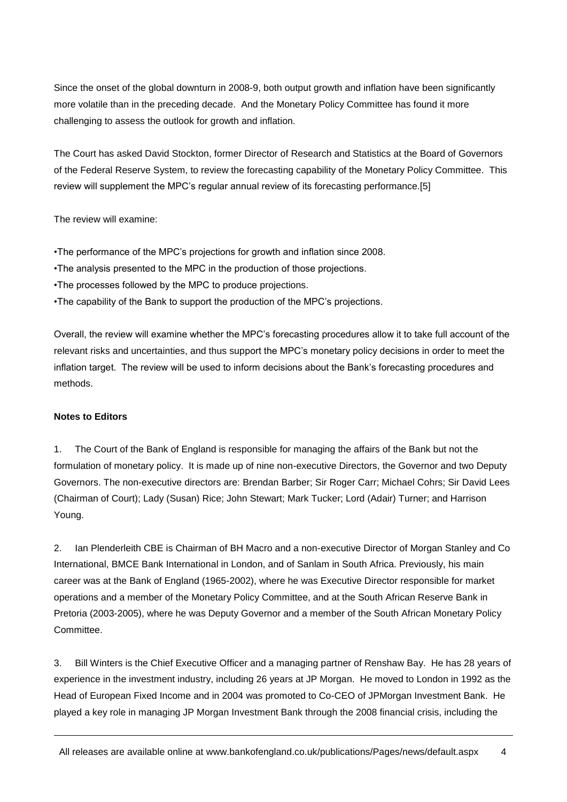Since the onset of the global downturn in 2008-9, both output growth and inflation have been significantly more volatile than in the preceding decade. And the Monetary Policy Committee has found it more challenging to assess the outlook for growth and inflation.

The Court has asked David Stockton, former Director of Research and Statistics at the Board of Governors of the Federal Reserve System, to review the forecasting capability of the Monetary Policy Committee. This review will supplement the MPC's regular annual review of its forecasting performance.[5]

The review will examine:

•The performance of the MPC's projections for growth and inflation since 2008.

- •The analysis presented to the MPC in the production of those projections.
- •The processes followed by the MPC to produce projections.
- •The capability of the Bank to support the production of the MPC's projections.

Overall, the review will examine whether the MPC's forecasting procedures allow it to take full account of the relevant risks and uncertainties, and thus support the MPC's monetary policy decisions in order to meet the inflation target. The review will be used to inform decisions about the Bank's forecasting procedures and methods.

#### **Notes to Editors**

1. The Court of the Bank of England is responsible for managing the affairs of the Bank but not the formulation of monetary policy. It is made up of nine non-executive Directors, the Governor and two Deputy Governors. The non-executive directors are: Brendan Barber; Sir Roger Carr; Michael Cohrs; Sir David Lees (Chairman of Court); Lady (Susan) Rice; John Stewart; Mark Tucker; Lord (Adair) Turner; and Harrison Young.

2. Ian Plenderleith CBE is Chairman of BH Macro and a non-executive Director of Morgan Stanley and Co International, BMCE Bank International in London, and of Sanlam in South Africa. Previously, his main career was at the Bank of England (1965-2002), where he was Executive Director responsible for market operations and a member of the Monetary Policy Committee, and at the South African Reserve Bank in Pretoria (2003-2005), where he was Deputy Governor and a member of the South African Monetary Policy Committee.

3. Bill Winters is the Chief Executive Officer and a managing partner of Renshaw Bay. He has 28 years of experience in the investment industry, including 26 years at JP Morgan. He moved to London in 1992 as the Head of European Fixed Income and in 2004 was promoted to Co-CEO of JPMorgan Investment Bank. He played a key role in managing JP Morgan Investment Bank through the 2008 financial crisis, including the